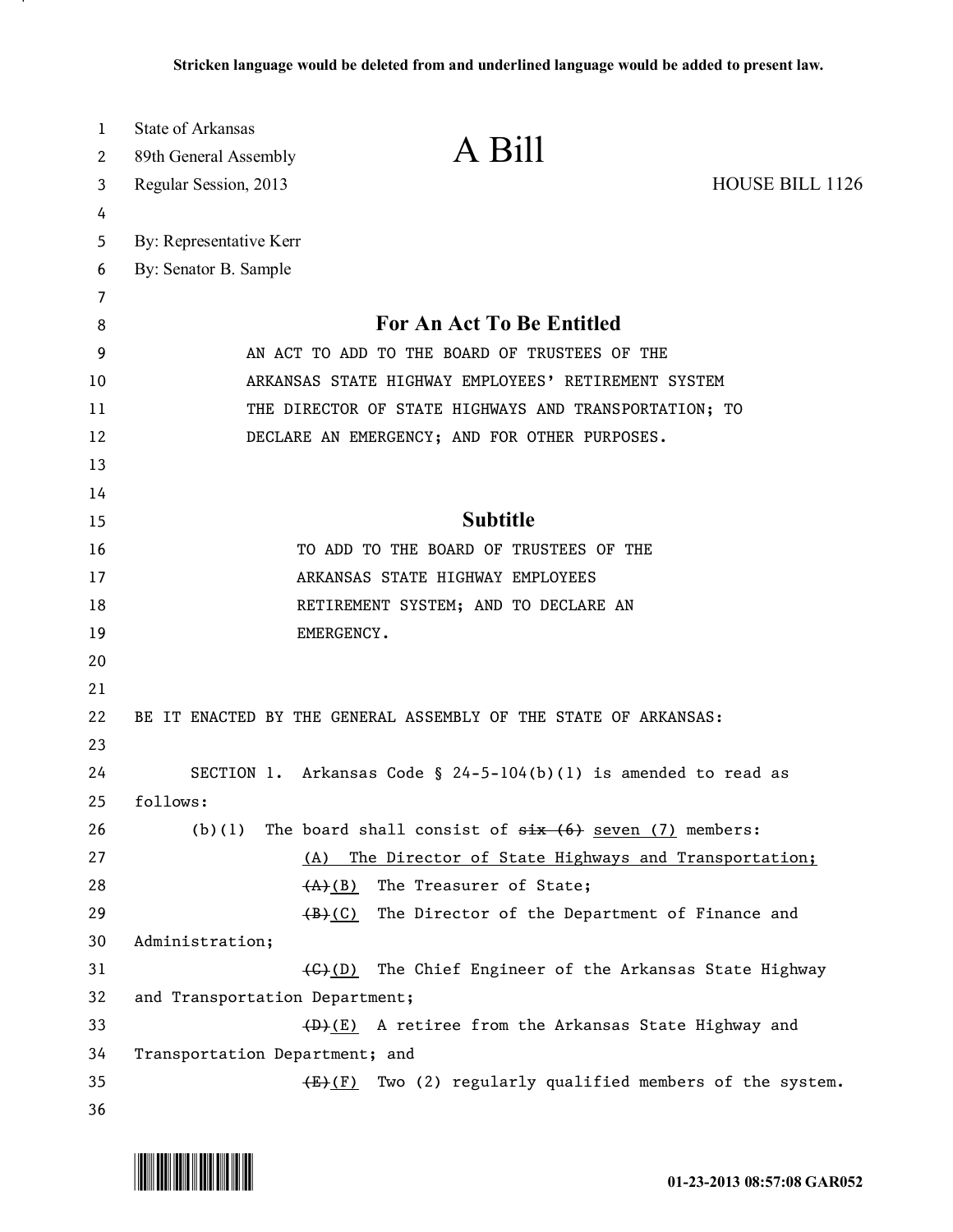| 1  | <b>State of Arkansas</b>                                         |                                                      |                        |
|----|------------------------------------------------------------------|------------------------------------------------------|------------------------|
| 2  | 89th General Assembly                                            | A Bill                                               |                        |
| 3  | Regular Session, 2013                                            |                                                      | <b>HOUSE BILL 1126</b> |
| 4  |                                                                  |                                                      |                        |
| 5  | By: Representative Kerr                                          |                                                      |                        |
| 6  | By: Senator B. Sample                                            |                                                      |                        |
| 7  |                                                                  |                                                      |                        |
| 8  | <b>For An Act To Be Entitled</b>                                 |                                                      |                        |
| 9  | AN ACT TO ADD TO THE BOARD OF TRUSTEES OF THE                    |                                                      |                        |
| 10 | ARKANSAS STATE HIGHWAY EMPLOYEES' RETIREMENT SYSTEM              |                                                      |                        |
| 11 | THE DIRECTOR OF STATE HIGHWAYS AND TRANSPORTATION; TO            |                                                      |                        |
| 12 | DECLARE AN EMERGENCY; AND FOR OTHER PURPOSES.                    |                                                      |                        |
| 13 |                                                                  |                                                      |                        |
| 14 |                                                                  |                                                      |                        |
| 15 | <b>Subtitle</b>                                                  |                                                      |                        |
| 16 | TO ADD TO THE BOARD OF TRUSTEES OF THE                           |                                                      |                        |
| 17 | ARKANSAS STATE HIGHWAY EMPLOYEES                                 |                                                      |                        |
| 18 | RETIREMENT SYSTEM; AND TO DECLARE AN                             |                                                      |                        |
| 19 | EMERGENCY.                                                       |                                                      |                        |
| 20 |                                                                  |                                                      |                        |
| 21 |                                                                  |                                                      |                        |
| 22 | BE IT ENACTED BY THE GENERAL ASSEMBLY OF THE STATE OF ARKANSAS:  |                                                      |                        |
| 23 |                                                                  |                                                      |                        |
| 24 | SECTION 1. Arkansas Code § 24-5-104(b)(1) is amended to read as  |                                                      |                        |
| 25 | follows:                                                         |                                                      |                        |
| 26 | The board shall consist of $six(6)$ seven (7) members:<br>(b)(1) |                                                      |                        |
| 27 | (A)                                                              | The Director of State Highways and Transportation;   |                        |
| 28 | $(A)$ (B)                                                        | The Treasurer of State;                              |                        |
| 29 | $(\mathsf{B})$ (C)                                               | The Director of the Department of Finance and        |                        |
| 30 | Administration;                                                  |                                                      |                        |
| 31 | <del>(C)</del> (D)                                               | The Chief Engineer of the Arkansas State Highway     |                        |
| 32 | and Transportation Department;                                   |                                                      |                        |
| 33 |                                                                  | (D)(E) A retiree from the Arkansas State Highway and |                        |
| 34 | Transportation Department; and                                   |                                                      |                        |
| 35 | $(E)$ (F)                                                        | Two (2) regularly qualified members of the system.   |                        |
| 36 |                                                                  |                                                      |                        |



.